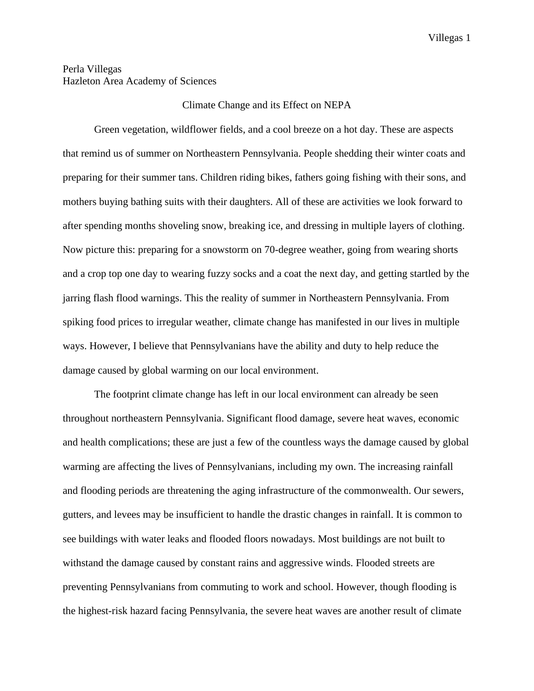## Perla Villegas Hazleton Area Academy of Sciences

## Climate Change and its Effect on NEPA

Green vegetation, wildflower fields, and a cool breeze on a hot day. These are aspects that remind us of summer on Northeastern Pennsylvania. People shedding their winter coats and preparing for their summer tans. Children riding bikes, fathers going fishing with their sons, and mothers buying bathing suits with their daughters. All of these are activities we look forward to after spending months shoveling snow, breaking ice, and dressing in multiple layers of clothing. Now picture this: preparing for a snowstorm on 70-degree weather, going from wearing shorts and a crop top one day to wearing fuzzy socks and a coat the next day, and getting startled by the jarring flash flood warnings. This the reality of summer in Northeastern Pennsylvania. From spiking food prices to irregular weather, climate change has manifested in our lives in multiple ways. However, I believe that Pennsylvanians have the ability and duty to help reduce the damage caused by global warming on our local environment.

The footprint climate change has left in our local environment can already be seen throughout northeastern Pennsylvania. Significant flood damage, severe heat waves, economic and health complications; these are just a few of the countless ways the damage caused by global warming are affecting the lives of Pennsylvanians, including my own. The increasing rainfall and flooding periods are threatening the aging infrastructure of the commonwealth. Our sewers, gutters, and levees may be insufficient to handle the drastic changes in rainfall. It is common to see buildings with water leaks and flooded floors nowadays. Most buildings are not built to withstand the damage caused by constant rains and aggressive winds. Flooded streets are preventing Pennsylvanians from commuting to work and school. However, though flooding is the highest-risk hazard facing Pennsylvania, the severe heat waves are another result of climate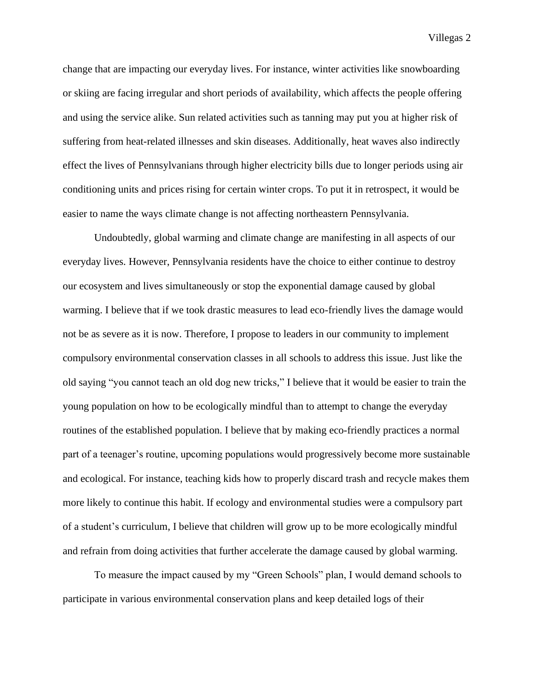Villegas 2

change that are impacting our everyday lives. For instance, winter activities like snowboarding or skiing are facing irregular and short periods of availability, which affects the people offering and using the service alike. Sun related activities such as tanning may put you at higher risk of suffering from heat-related illnesses and skin diseases. Additionally, heat waves also indirectly effect the lives of Pennsylvanians through higher electricity bills due to longer periods using air conditioning units and prices rising for certain winter crops. To put it in retrospect, it would be easier to name the ways climate change is not affecting northeastern Pennsylvania.

Undoubtedly, global warming and climate change are manifesting in all aspects of our everyday lives. However, Pennsylvania residents have the choice to either continue to destroy our ecosystem and lives simultaneously or stop the exponential damage caused by global warming. I believe that if we took drastic measures to lead eco-friendly lives the damage would not be as severe as it is now. Therefore, I propose to leaders in our community to implement compulsory environmental conservation classes in all schools to address this issue. Just like the old saying "you cannot teach an old dog new tricks," I believe that it would be easier to train the young population on how to be ecologically mindful than to attempt to change the everyday routines of the established population. I believe that by making eco-friendly practices a normal part of a teenager's routine, upcoming populations would progressively become more sustainable and ecological. For instance, teaching kids how to properly discard trash and recycle makes them more likely to continue this habit. If ecology and environmental studies were a compulsory part of a student's curriculum, I believe that children will grow up to be more ecologically mindful and refrain from doing activities that further accelerate the damage caused by global warming.

To measure the impact caused by my "Green Schools" plan, I would demand schools to participate in various environmental conservation plans and keep detailed logs of their